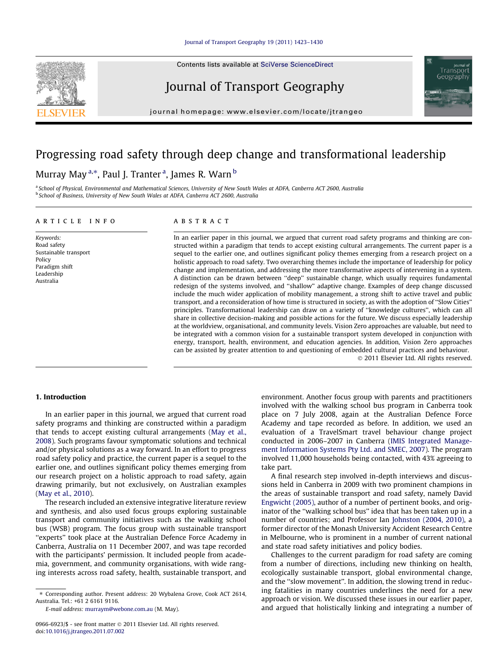Contents lists available at [SciVerse ScienceDirect](http://www.sciencedirect.com/science/journal/09666923)



## Journal of Transport Geography



# Progressing road safety through deep change and transformational leadership

## Murray May <sup>a,</sup>\*, Paul J. Tranter <sup>a</sup>, James R. Warn <sup>b</sup>

a School of Physical, Environmental and Mathematical Sciences, University of New South Wales at ADFA, Canberra ACT 2600, Australia b School of Business, University of New South Wales at ADFA, Canberra ACT 2600, Australia

## article info

Keywords: Road safety Sustainable transport Policy Paradigm shift Leadership Australia

## **ABSTRACT**

In an earlier paper in this journal, we argued that current road safety programs and thinking are constructed within a paradigm that tends to accept existing cultural arrangements. The current paper is a sequel to the earlier one, and outlines significant policy themes emerging from a research project on a holistic approach to road safety. Two overarching themes include the importance of leadership for policy change and implementation, and addressing the more transformative aspects of intervening in a system. A distinction can be drawn between ''deep'' sustainable change, which usually requires fundamental redesign of the systems involved, and ''shallow'' adaptive change. Examples of deep change discussed include the much wider application of mobility management, a strong shift to active travel and public transport, and a reconsideration of how time is structured in society, as with the adoption of ''Slow Cities'' principles. Transformational leadership can draw on a variety of ''knowledge cultures'', which can all share in collective decision-making and possible actions for the future. We discuss especially leadership at the worldview, organisational, and community levels. Vision Zero approaches are valuable, but need to be integrated with a common vision for a sustainable transport system developed in conjunction with energy, transport, health, environment, and education agencies. In addition, Vision Zero approaches can be assisted by greater attention to and questioning of embedded cultural practices and behaviour. - 2011 Elsevier Ltd. All rights reserved.

## 1. Introduction

In an earlier paper in this journal, we argued that current road safety programs and thinking are constructed within a paradigm that tends to accept existing cultural arrangements ([May et al.,](#page-7-0) [2008](#page-7-0)). Such programs favour symptomatic solutions and technical and/or physical solutions as a way forward. In an effort to progress road safety policy and practice, the current paper is a sequel to the earlier one, and outlines significant policy themes emerging from our research project on a holistic approach to road safety, again drawing primarily, but not exclusively, on Australian examples ([May et al., 2010\)](#page-7-0).

The research included an extensive integrative literature review and synthesis, and also used focus groups exploring sustainable transport and community initiatives such as the walking school bus (WSB) program. The focus group with sustainable transport ''experts'' took place at the Australian Defence Force Academy in Canberra, Australia on 11 December 2007, and was tape recorded with the participants' permission. It included people from academia, government, and community organisations, with wide ranging interests across road safety, health, sustainable transport, and

E-mail address: [murraym@webone.com.au](mailto:murraym@webone.com.au) (M. May).

environment. Another focus group with parents and practitioners involved with the walking school bus program in Canberra took place on 7 July 2008, again at the Australian Defence Force Academy and tape recorded as before. In addition, we used an evaluation of a TravelSmart travel behaviour change project conducted in 2006–2007 in Canberra [\(IMIS Integrated Manage](#page-7-0)[ment Information Systems Pty Ltd. and SMEC, 2007\)](#page-7-0). The program involved 11,000 households being contacted, with 43% agreeing to take part.

Geography

A final research step involved in-depth interviews and discussions held in Canberra in 2009 with two prominent champions in the areas of sustainable transport and road safety, namely David [Engwicht \(2005\)](#page-7-0), author of a number of pertinent books, and originator of the ''walking school bus'' idea that has been taken up in a number of countries; and Professor Ian [Johnston \(2004, 2010\)](#page-7-0), a former director of the Monash University Accident Research Centre in Melbourne, who is prominent in a number of current national and state road safety initiatives and policy bodies.

Challenges to the current paradigm for road safety are coming from a number of directions, including new thinking on health, ecologically sustainable transport, global environmental change, and the "slow movement". In addition, the slowing trend in reducing fatalities in many countries underlines the need for a new approach or vision. We discussed these issues in our earlier paper, and argued that holistically linking and integrating a number of

<sup>⇑</sup> Corresponding author. Present address: 20 Wybalena Grove, Cook ACT 2614, Australia. Tel.: +61 2 6161 9116.

<sup>0966-6923/\$ -</sup> see front matter © 2011 Elsevier Ltd. All rights reserved. doi[:10.1016/j.jtrangeo.2011.07.002](http://dx.doi.org/10.1016/j.jtrangeo.2011.07.002)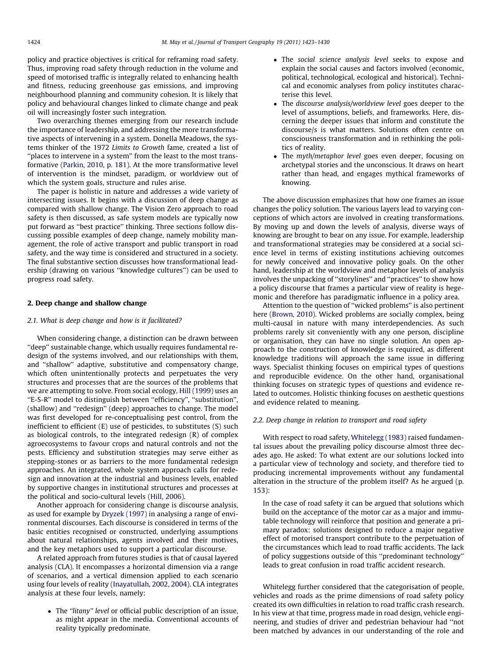policy and practice objectives is critical for reframing road safety. Thus, improving road safety through reduction in the volume and speed of motorised traffic is integrally related to enhancing health and fitness, reducing greenhouse gas emissions, and improving neighbourhood planning and community cohesion. It is likely that policy and behavioural changes linked to climate change and peak oil will increasingly foster such integration.

Two overarching themes emerging from our research include the importance of leadership, and addressing the more transformative aspects of intervening in a system. Donella Meadows, the systems thinker of the 1972 Limits to Growth fame, created a list of "places to intervene in a system" from the least to the most transformative [\(Parkin, 2010, p. 181](#page-7-0)). At the more transformative level of intervention is the mindset, paradigm, or worldview out of which the system goals, structure and rules arise.

The paper is holistic in nature and addresses a wide variety of intersecting issues. It begins with a discussion of deep change as compared with shallow change. The Vision Zero approach to road safety is then discussed, as safe system models are typically now put forward as ''best practice'' thinking. Three sections follow discussing possible examples of deep change, namely mobility management, the role of active transport and public transport in road safety, and the way time is considered and structured in a society. The final substantive section discusses how transformational leadership (drawing on various ''knowledge cultures'') can be used to progress road safety.

#### 2. Deep change and shallow change

## 2.1. What is deep change and how is it facilitated?

When considering change, a distinction can be drawn between ''deep'' sustainable change, which usually requires fundamental redesign of the systems involved, and our relationships with them, and ''shallow'' adaptive, substitutive and compensatory change, which often unintentionally protects and perpetuates the very structures and processes that are the sources of the problems that we are attempting to solve. From social ecology, [Hill \(1999\)](#page-7-0) uses an ''E-S-R'' model to distinguish between ''efficiency'', ''substitution'', (shallow) and ''redesign'' (deep) approaches to change. The model was first developed for re-conceptualising pest control, from the inefficient to efficient (E) use of pesticides, to substitutes (S) such as biological controls, to the integrated redesign (R) of complex agroecosystems to favour crops and natural controls and not the pests. Efficiency and substitution strategies may serve either as stepping-stones or as barriers to the more fundamental redesign approaches. An integrated, whole system approach calls for redesign and innovation at the industrial and business levels, enabled by supportive changes in institutional structures and processes at the political and socio-cultural levels [\(Hill, 2006](#page-7-0)).

Another approach for considering change is discourse analysis, as used for example by [Dryzek \(1997\)](#page-7-0) in analysing a range of environmental discourses. Each discourse is considered in terms of the basic entities recognised or constructed, underlying assumptions about natural relationships, agents involved and their motives, and the key metaphors used to support a particular discourse.

A related approach from futures studies is that of causal layered analysis (CLA). It encompasses a horizontal dimension via a range of scenarios, and a vertical dimension applied to each scenario using four levels of reality ([Inayatullah, 2002, 2004\)](#page-7-0). CLA integrates analysis at these four levels, namely:

> • The "litany" level or official public description of an issue, as might appear in the media. Conventional accounts of reality typically predominate.

- The social science analysis level seeks to expose and explain the social causes and factors involved (economic, political, technological, ecological and historical). Technical and economic analyses from policy institutes characterise this level.
- The discourse analysis/worldview level goes deeper to the level of assumptions, beliefs, and frameworks. Here, discerning the deeper issues that inform and constitute the discourse/s is what matters. Solutions often centre on consciousness transformation and in rethinking the politics of reality.
- The myth/metaphor level goes even deeper, focusing on archetypal stories and the unconscious. It draws on heart rather than head, and engages mythical frameworks of knowing.

The above discussion emphasizes that how one frames an issue changes the policy solution. The various layers lead to varying conceptions of which actors are involved in creating transformations. By moving up and down the levels of analysis, diverse ways of knowing are brought to bear on any issue. For example, leadership and transformational strategies may be considered at a social science level in terms of existing institutions achieving outcomes for newly conceived and innovative policy goals. On the other hand, leadership at the worldview and metaphor levels of analysis involves the unpacking of ''storylines'' and ''practices'' to show how a policy discourse that frames a particular view of reality is hegemonic and therefore has paradigmatic influence in a policy area.

Attention to the question of ''wicked problems'' is also pertinent here [\(Brown, 2010](#page-7-0)). Wicked problems are socially complex, being multi-causal in nature with many interdependencies. As such problems rarely sit conveniently with any one person, discipline or organisation, they can have no single solution. An open approach to the construction of knowledge is required, as different knowledge traditions will approach the same issue in differing ways. Specialist thinking focuses on empirical types of questions and reproducible evidence. On the other hand, organisational thinking focuses on strategic types of questions and evidence related to outcomes. Holistic thinking focuses on aesthetic questions and evidence related to meaning.

### 2.2. Deep change in relation to transport and road safety

With respect to road safety, [Whitelegg \(1983\)](#page-7-0) raised fundamental issues about the prevailing policy discourse almost three decades ago. He asked: To what extent are our solutions locked into a particular view of technology and society, and therefore tied to producing incremental improvements without any fundamental alteration in the structure of the problem itself? As he argued (p. 153):

In the case of road safety it can be argued that solutions which build on the acceptance of the motor car as a major and immutable technology will reinforce that position and generate a primary paradox: solutions designed to reduce a major negative effect of motorised transport contribute to the perpetuation of the circumstances which lead to road traffic accidents. The lack of policy suggestions outside of this ''predominant technology'' leads to great confusion in road traffic accident research.

Whitelegg further considered that the categorisation of people, vehicles and roads as the prime dimensions of road safety policy created its own difficulties in relation to road traffic crash research. In his view at that time, progress made in road design, vehicle engineering, and studies of driver and pedestrian behaviour had ''not been matched by advances in our understanding of the role and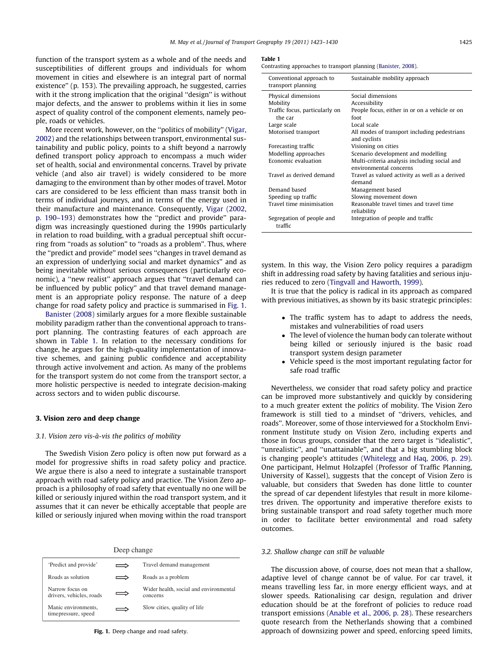function of the transport system as a whole and of the needs and susceptibilities of different groups and individuals for whom movement in cities and elsewhere is an integral part of normal existence'' (p. 153). The prevailing approach, he suggested, carries with it the strong implication that the original ''design'' is without major defects, and the answer to problems within it lies in some aspect of quality control of the component elements, namely people, roads or vehicles.

More recent work, however, on the ''politics of mobility'' ([Vigar,](#page-7-0) [2002](#page-7-0)) and the relationships between transport, environmental sustainability and public policy, points to a shift beyond a narrowly defined transport policy approach to encompass a much wider set of health, social and environmental concerns. Travel by private vehicle (and also air travel) is widely considered to be more damaging to the environment than by other modes of travel. Motor cars are considered to be less efficient than mass transit both in terms of individual journeys, and in terms of the energy used in their manufacture and maintenance. Consequently, [Vigar \(2002,](#page-7-0) [p. 190–193\)](#page-7-0) demonstrates how the ''predict and provide'' paradigm was increasingly questioned during the 1990s particularly in relation to road building, with a gradual perceptual shift occurring from ''roads as solution'' to ''roads as a problem''. Thus, where the ''predict and provide'' model sees ''changes in travel demand as an expression of underlying social and market dynamics'' and as being inevitable without serious consequences (particularly economic), a ''new realist'' approach argues that ''travel demand can be influenced by public policy'' and that travel demand management is an appropriate policy response. The nature of a deep change for road safety policy and practice is summarised in Fig. 1.

[Banister \(2008\)](#page-7-0) similarly argues for a more flexible sustainable mobility paradigm rather than the conventional approach to transport planning. The contrasting features of each approach are shown in Table 1. In relation to the necessary conditions for change, he argues for the high-quality implementation of innovative schemes, and gaining public confidence and acceptability through active involvement and action. As many of the problems for the transport system do not come from the transport sector, a more holistic perspective is needed to integrate decision-making across sectors and to widen public discourse.

#### 3. Vision zero and deep change

#### 3.1. Vision zero vis-à-vis the politics of mobility

The Swedish Vision Zero policy is often now put forward as a model for progressive shifts in road safety policy and practice. We argue there is also a need to integrate a sustainable transport approach with road safety policy and practice. The Vision Zero approach is a philosophy of road safety that eventually no one will be killed or seriously injured within the road transport system, and it assumes that it can never be ethically acceptable that people are killed or seriously injured when moving within the road transport

|  | Deep change |
|--|-------------|
|--|-------------|

|   | Travel demand management                           |
|---|----------------------------------------------------|
| ═ | Roads as a problem                                 |
|   | Wider health, social and environmental<br>concerns |
|   | Slow cities, quality of life                       |
|   |                                                    |

Fig. 1. Deep change and road safety.

#### Table 1

Contrasting approaches to transport planning [\(Banister, 2008\)](#page-7-0).

| Conventional approach to<br>transport planning | Sustainable mobility approach                                          |
|------------------------------------------------|------------------------------------------------------------------------|
| Physical dimensions                            | Social dimensions                                                      |
| Mobility                                       | Accessibility                                                          |
| Traffic focus, particularly on                 | People focus, either in or on a vehicle or on                          |
| the car                                        | foot                                                                   |
| Large scale                                    | Local scale                                                            |
| Motorised transport                            | All modes of transport including pedestrians<br>and cyclists           |
| Forecasting traffic                            | Visioning on cities                                                    |
| Modelling approaches                           | Scenario development and modelling                                     |
| Economic evaluation                            | Multi-criteria analysis including social and<br>environmental concerns |
| Travel as derived demand                       | Travel as valued activity as well as a derived                         |
|                                                | demand                                                                 |
| Demand based                                   | Management based                                                       |
| Speeding up traffic                            | Slowing movement down                                                  |
| Travel time minimisation                       | Reasonable travel times and travel time<br>reliability                 |
| Segregation of people and<br>traffic           | Integration of people and traffic                                      |

system. In this way, the Vision Zero policy requires a paradigm shift in addressing road safety by having fatalities and serious injuries reduced to zero [\(Tingvall and Haworth, 1999](#page-7-0)).

It is true that the policy is radical in its approach as compared with previous initiatives, as shown by its basic strategic principles:

- The traffic system has to adapt to address the needs, mistakes and vulnerabilities of road users
- The level of violence the human body can tolerate without being killed or seriously injured is the basic road transport system design parameter
- Vehicle speed is the most important regulating factor for safe road traffic

Nevertheless, we consider that road safety policy and practice can be improved more substantively and quickly by considering to a much greater extent the politics of mobility. The Vision Zero framework is still tied to a mindset of ''drivers, vehicles, and roads''. Moreover, some of those interviewed for a Stockholm Environment Institute study on Vision Zero, including experts and those in focus groups, consider that the zero target is ''idealistic'', ''unrealistic'', and ''unattainable'', and that a big stumbling block is changing people's attitudes [\(Whitelegg and Haq, 2006, p. 29\)](#page-7-0). One participant, Helmut Holzapfel (Professor of Traffic Planning, University of Kassel), suggests that the concept of Vision Zero is valuable, but considers that Sweden has done little to counter the spread of car dependent lifestyles that result in more kilometres driven. The opportunity and imperative therefore exists to bring sustainable transport and road safety together much more in order to facilitate better environmental and road safety outcomes.

#### 3.2. Shallow change can still be valuable

The discussion above, of course, does not mean that a shallow, adaptive level of change cannot be of value. For car travel, it means travelling less far, in more energy efficient ways, and at slower speeds. Rationalising car design, regulation and driver education should be at the forefront of policies to reduce road transport emissions [\(Anable et al., 2006, p. 28](#page-7-0)). These researchers quote research from the Netherlands showing that a combined approach of downsizing power and speed, enforcing speed limits,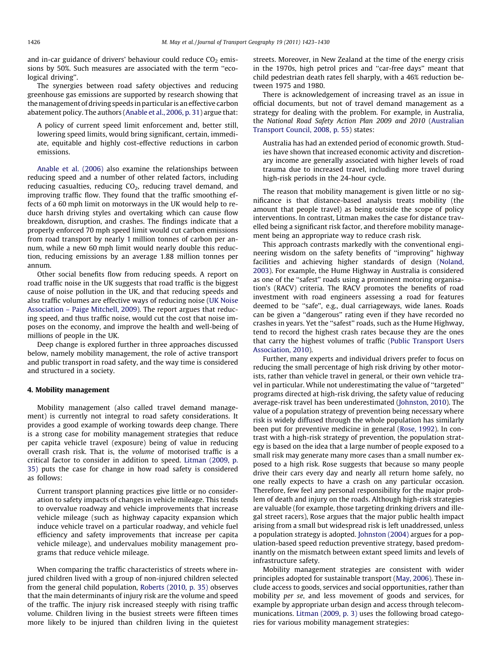and in-car guidance of drivers' behaviour could reduce  $CO<sub>2</sub>$  emissions by 50%. Such measures are associated with the term ''ecological driving''.

The synergies between road safety objectives and reducing greenhouse gas emissions are supported by research showing that themanagement of driving speeds in particular is an effective carbon abatement policy. The authors ([Anable et al., 2006, p. 31](#page-7-0)) argue that:

A policy of current speed limit enforcement and, better still, lowering speed limits, would bring significant, certain, immediate, equitable and highly cost-effective reductions in carbon emissions.

[Anable et al. \(2006\)](#page-7-0) also examine the relationships between reducing speed and a number of other related factors, including reducing casualties, reducing  $CO<sub>2</sub>$ , reducing travel demand, and improving traffic flow. They found that the traffic smoothing effects of a 60 mph limit on motorways in the UK would help to reduce harsh driving styles and overtaking which can cause flow breakdown, disruption, and crashes. The findings indicate that a properly enforced 70 mph speed limit would cut carbon emissions from road transport by nearly 1 million tonnes of carbon per annum, while a new 60 mph limit would nearly double this reduction, reducing emissions by an average 1.88 million tonnes per annum.

Other social benefits flow from reducing speeds. A report on road traffic noise in the UK suggests that road traffic is the biggest cause of noise pollution in the UK, and that reducing speeds and also traffic volumes are effective ways of reducing noise [\(UK Noise](#page-7-0) [Association – Paige Mitchell, 2009](#page-7-0)). The report argues that reducing speed, and thus traffic noise, would cut the cost that noise imposes on the economy, and improve the health and well-being of millions of people in the UK.

Deep change is explored further in three approaches discussed below, namely mobility management, the role of active transport and public transport in road safety, and the way time is considered and structured in a society.

#### 4. Mobility management

Mobility management (also called travel demand management) is currently not integral to road safety considerations. It provides a good example of working towards deep change. There is a strong case for mobility management strategies that reduce per capita vehicle travel (exposure) being of value in reducing overall crash risk. That is, the volume of motorised traffic is a critical factor to consider in addition to speed. [Litman \(2009, p.](#page-7-0) [35\)](#page-7-0) puts the case for change in how road safety is considered as follows:

Current transport planning practices give little or no consideration to safety impacts of changes in vehicle mileage. This tends to overvalue roadway and vehicle improvements that increase vehicle mileage (such as highway capacity expansion which induce vehicle travel on a particular roadway, and vehicle fuel efficiency and safety improvements that increase per capita vehicle mileage), and undervalues mobility management programs that reduce vehicle mileage.

When comparing the traffic characteristics of streets where injured children lived with a group of non-injured children selected from the general child population, [Roberts \(2010, p. 35\)](#page-7-0) observes that the main determinants of injury risk are the volume and speed of the traffic. The injury risk increased steeply with rising traffic volume. Children living in the busiest streets were fifteen times more likely to be injured than children living in the quietest streets. Moreover, in New Zealand at the time of the energy crisis in the 1970s, high petrol prices and ''car-free days'' meant that child pedestrian death rates fell sharply, with a 46% reduction between 1975 and 1980.

There is acknowledgement of increasing travel as an issue in official documents, but not of travel demand management as a strategy for dealing with the problem. For example, in Australia, the National Road Safety Action Plan 2009 and 2010 [\(Australian](#page-7-0) [Transport Council, 2008, p. 55](#page-7-0)) states:

Australia has had an extended period of economic growth. Studies have shown that increased economic activity and discretionary income are generally associated with higher levels of road trauma due to increased travel, including more travel during high-risk periods in the 24-hour cycle.

The reason that mobility management is given little or no significance is that distance-based analysis treats mobility (the amount that people travel) as being outside the scope of policy interventions. In contrast, Litman makes the case for distance travelled being a significant risk factor, and therefore mobility management being an appropriate way to reduce crash risk.

This approach contrasts markedly with the conventional engineering wisdom on the safety benefits of ''improving'' highway facilities and achieving higher standards of design ([Noland,](#page-7-0) [2003\)](#page-7-0). For example, the Hume Highway in Australia is considered as one of the ''safest'' roads using a prominent motoring organisation's (RACV) criteria. The RACV promotes the benefits of road investment with road engineers assessing a road for features deemed to be ''safe'', e.g., dual carriageways, wide lanes. Roads can be given a ''dangerous'' rating even if they have recorded no crashes in years. Yet the ''safest'' roads, such as the Hume Highway, tend to record the highest crash rates because they are the ones that carry the highest volumes of traffic [\(Public Transport Users](#page-7-0) [Association, 2010](#page-7-0)).

Further, many experts and individual drivers prefer to focus on reducing the small percentage of high risk driving by other motorists, rather than vehicle travel in general, or their own vehicle travel in particular. While not underestimating the value of ''targeted'' programs directed at high-risk driving, the safety value of reducing average-risk travel has been underestimated [\(Johnston, 2010\)](#page-7-0). The value of a population strategy of prevention being necessary where risk is widely diffused through the whole population has similarly been put for preventive medicine in general ([Rose, 1992\)](#page-7-0). In contrast with a high-risk strategy of prevention, the population strategy is based on the idea that a large number of people exposed to a small risk may generate many more cases than a small number exposed to a high risk. Rose suggests that because so many people drive their cars every day and nearly all return home safely, no one really expects to have a crash on any particular occasion. Therefore, few feel any personal responsibility for the major problem of death and injury on the roads. Although high-risk strategies are valuable (for example, those targeting drinking drivers and illegal street racers), Rose argues that the major public health impact arising from a small but widespread risk is left unaddressed, unless a population strategy is adopted. [Johnston \(2004\)](#page-7-0) argues for a population-based speed reduction preventive strategy, based predominantly on the mismatch between extant speed limits and levels of infrastructure safety.

Mobility management strategies are consistent with wider principles adopted for sustainable transport ([May, 2006](#page-7-0)). These include access to goods, services and social opportunities, rather than mobility per se, and less movement of goods and services, for example by appropriate urban design and access through telecommunications. [Litman \(2009, p. 3\)](#page-7-0) uses the following broad categories for various mobility management strategies: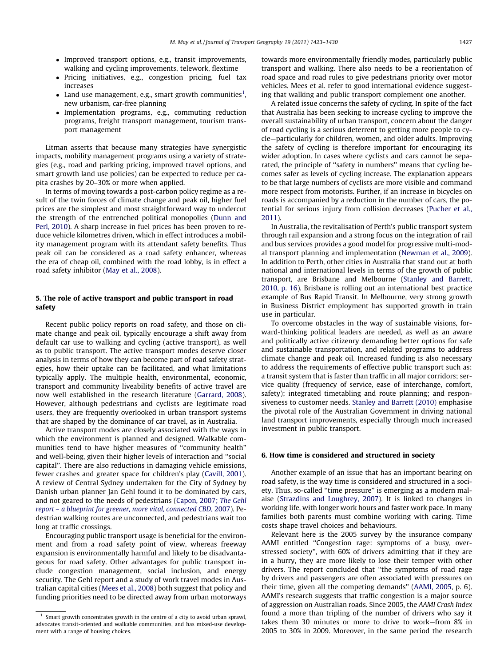- Improved transport options, e.g., transit improvements, walking and cycling improvements, telework, flextime
- Pricing initiatives, e.g., congestion pricing, fuel tax increases
- Land use management, e.g., smart growth communities<sup>1</sup>, new urbanism, car-free planning
- Implementation programs, e.g., commuting reduction programs, freight transport management, tourism transport management

Litman asserts that because many strategies have synergistic impacts, mobility management programs using a variety of strategies (e.g., road and parking pricing, improved travel options, and smart growth land use policies) can be expected to reduce per capita crashes by 20–30% or more when applied.

In terms of moving towards a post-carbon policy regime as a result of the twin forces of climate change and peak oil, higher fuel prices are the simplest and most straightforward way to undercut the strength of the entrenched political monopolies ([Dunn and](#page-7-0) [Perl, 2010\)](#page-7-0). A sharp increase in fuel prices has been proven to reduce vehicle kilometres driven, which in effect introduces a mobility management program with its attendant safety benefits. Thus peak oil can be considered as a road safety enhancer, whereas the era of cheap oil, combined with the road lobby, is in effect a road safety inhibitor [\(May et al., 2008](#page-7-0)).

## 5. The role of active transport and public transport in road safety

Recent public policy reports on road safety, and those on climate change and peak oil, typically encourage a shift away from default car use to walking and cycling (active transport), as well as to public transport. The active transport modes deserve closer analysis in terms of how they can become part of road safety strategies, how their uptake can be facilitated, and what limitations typically apply. The multiple health, environmental, economic, transport and community liveability benefits of active travel are now well established in the research literature ([Garrard, 2008\)](#page-7-0). However, although pedestrians and cyclists are legitimate road users, they are frequently overlooked in urban transport systems that are shaped by the dominance of car travel, as in Australia.

Active transport modes are closely associated with the ways in which the environment is planned and designed. Walkable communities tend to have higher measures of ''community health'' and well-being, given their higher levels of interaction and ''social capital''. There are also reductions in damaging vehicle emissions, fewer crashes and greater space for children's play ([Cavill, 2001\)](#page-7-0). A review of Central Sydney undertaken for the City of Sydney by Danish urban planner Jan Gehl found it to be dominated by cars, and not geared to the needs of pedestrians [\(Capon, 2007;](#page-7-0) The Gehl [report](#page-7-0) – [a blueprint for greener, more vital, connected CBD](#page-7-0), 2007). Pedestrian walking routes are unconnected, and pedestrians wait too long at traffic crossings.

Encouraging public transport usage is beneficial for the environment and from a road safety point of view, whereas freeway expansion is environmentally harmful and likely to be disadvantageous for road safety. Other advantages for public transport include congestion management, social inclusion, and energy security. The Gehl report and a study of work travel modes in Australian capital cities [\(Mees et al., 2008](#page-7-0)) both suggest that policy and funding priorities need to be directed away from urban motorways towards more environmentally friendly modes, particularly public transport and walking. There also needs to be a reorientation of road space and road rules to give pedestrians priority over motor vehicles. Mees et al. refer to good international evidence suggesting that walking and public transport complement one another.

A related issue concerns the safety of cycling. In spite of the fact that Australia has been seeking to increase cycling to improve the overall sustainability of urban transport, concern about the danger of road cycling is a serious deterrent to getting more people to cycle—particularly for children, women, and older adults. Improving the safety of cycling is therefore important for encouraging its wider adoption. In cases where cyclists and cars cannot be separated, the principle of ''safety in numbers'' means that cycling becomes safer as levels of cycling increase. The explanation appears to be that large numbers of cyclists are more visible and command more respect from motorists. Further, if an increase in bicycles on roads is accompanied by a reduction in the number of cars, the potential for serious injury from collision decreases [\(Pucher et al.,](#page-7-0) [2011](#page-7-0)).

In Australia, the revitalisation of Perth's public transport system through rail expansion and a strong focus on the integration of rail and bus services provides a good model for progressive multi-modal transport planning and implementation [\(Newman et al., 2009\)](#page-7-0). In addition to Perth, other cities in Australia that stand out at both national and international levels in terms of the growth of public transport, are Brisbane and Melbourne ([Stanley and Barrett,](#page-7-0) [2010, p. 16](#page-7-0)). Brisbane is rolling out an international best practice example of Bus Rapid Transit. In Melbourne, very strong growth in Business District employment has supported growth in train use in particular.

To overcome obstacles in the way of sustainable visions, forward-thinking political leaders are needed, as well as an aware and politically active citizenry demanding better options for safe and sustainable transportation, and related programs to address climate change and peak oil. Increased funding is also necessary to address the requirements of effective public transport such as: a transit system that is faster than traffic in all major corridors; service quality (frequency of service, ease of interchange, comfort, safety); integrated timetabling and route planning; and responsiveness to customer needs. [Stanley and Barrett \(2010\)](#page-7-0) emphasise the pivotal role of the Australian Government in driving national land transport improvements, especially through much increased investment in public transport.

#### 6. How time is considered and structured in society

Another example of an issue that has an important bearing on road safety, is the way time is considered and structured in a society. Thus, so-called ''time pressure'' is emerging as a modern malaise ([Strazdins and Loughrey, 2007](#page-7-0)). It is linked to changes in working life, with longer work hours and faster work pace. In many families both parents must combine working with caring. Time costs shape travel choices and behaviours.

Relevant here is the 2005 survey by the insurance company AAMI entitled ''Congestion rage: symptoms of a busy, overstressed society'', with 60% of drivers admitting that if they are in a hurry, they are more likely to lose their temper with other drivers. The report concluded that ''the symptoms of road rage by drivers and passengers are often associated with pressures on their time, given all the competing demands'' [\(AAMI, 2005](#page-7-0), p. 6). AAMI's research suggests that traffic congestion is a major source of aggression on Australian roads. Since 2005, the AAMI Crash Index found a more than tripling of the number of drivers who say it takes them 30 minutes or more to drive to work—from 8% in 2005 to 30% in 2009. Moreover, in the same period the research

Smart growth concentrates growth in the centre of a city to avoid urban sprawl, advocates transit-oriented and walkable communities, and has mixed-use development with a range of housing choices.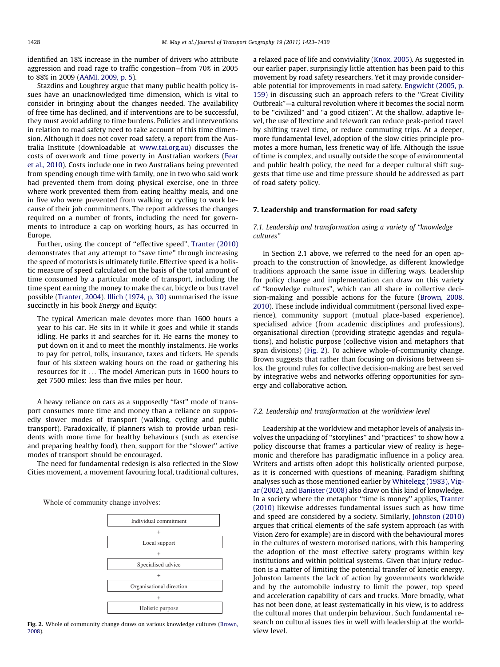identified an 18% increase in the number of drivers who attribute aggression and road rage to traffic congestion—from 70% in 2005 to 88% in 2009 ([AAMI, 2009, p. 5](#page-7-0)).

Stazdins and Loughrey argue that many public health policy issues have an unacknowledged time dimension, which is vital to consider in bringing about the changes needed. The availability of free time has declined, and if interventions are to be successful, they must avoid adding to time burdens. Policies and interventions in relation to road safety need to take account of this time dimension. Although it does not cover road safety, a report from the Australia Institute (downloadable at [www.tai.org.au](http://www.tai.org.au)) discusses the costs of overwork and time poverty in Australian workers ([Fear](#page-7-0) [et al., 2010](#page-7-0)). Costs include one in two Australians being prevented from spending enough time with family, one in two who said work had prevented them from doing physical exercise, one in three where work prevented them from eating healthy meals, and one in five who were prevented from walking or cycling to work because of their job commitments. The report addresses the changes required on a number of fronts, including the need for governments to introduce a cap on working hours, as has occurred in Europe.

Further, using the concept of "effective speed", [Tranter \(2010\)](#page-7-0) demonstrates that any attempt to ''save time'' through increasing the speed of motorists is ultimately futile. Effective speed is a holistic measure of speed calculated on the basis of the total amount of time consumed by a particular mode of transport, including the time spent earning the money to make the car, bicycle or bus travel possible [\(Tranter, 2004](#page-7-0)). [Illich \(1974, p. 30\)](#page-7-0) summarised the issue succinctly in his book Energy and Equity:

The typical American male devotes more than 1600 hours a year to his car. He sits in it while it goes and while it stands idling. He parks it and searches for it. He earns the money to put down on it and to meet the monthly instalments. He works to pay for petrol, tolls, insurance, taxes and tickets. He spends four of his sixteen waking hours on the road or gathering his resources for it ... The model American puts in 1600 hours to get 7500 miles: less than five miles per hour.

A heavy reliance on cars as a supposedly ''fast'' mode of transport consumes more time and money than a reliance on supposedly slower modes of transport (walking, cycling and public transport). Paradoxically, if planners wish to provide urban residents with more time for healthy behaviours (such as exercise and preparing healthy food), then, support for the ''slower'' active modes of transport should be encouraged.

The need for fundamental redesign is also reflected in the Slow Cities movement, a movement favouring local, traditional cultures,

Whole of community change involves:



Fig. 2. Whole of community change draws on various knowledge cultures [\(Brown,](#page-7-0) [2008\)](#page-7-0).

a relaxed pace of life and conviviality ([Knox, 2005\)](#page-7-0). As suggested in our earlier paper, surprisingly little attention has been paid to this movement by road safety researchers. Yet it may provide considerable potential for improvements in road safety. [Engwicht \(2005, p.](#page-7-0) [159\)](#page-7-0) in discussing such an approach refers to the ''Great Civility Outbreak''—a cultural revolution where it becomes the social norm to be ''civilized'' and ''a good citizen''. At the shallow, adaptive level, the use of flextime and telework can reduce peak-period travel by shifting travel time, or reduce commuting trips. At a deeper, more fundamental level, adoption of the slow cities principle promotes a more human, less frenetic way of life. Although the issue of time is complex, and usually outside the scope of environmental and public health policy, the need for a deeper cultural shift suggests that time use and time pressure should be addressed as part of road safety policy.

#### 7. Leadership and transformation for road safety

## 7.1. Leadership and transformation using a variety of ''knowledge cultures''

In Section 2.1 above, we referred to the need for an open approach to the construction of knowledge, as different knowledge traditions approach the same issue in differing ways. Leadership for policy change and implementation can draw on this variety of ''knowledge cultures'', which can all share in collective decision-making and possible actions for the future ([Brown, 2008,](#page-7-0) [2010\)](#page-7-0). These include individual commitment (personal lived experience), community support (mutual place-based experience), specialised advice (from academic disciplines and professions), organisational direction (providing strategic agendas and regulations), and holistic purpose (collective vision and metaphors that span divisions) (Fig. 2). To achieve whole-of-community change, Brown suggests that rather than focusing on divisions between silos, the ground rules for collective decision-making are best served by integrative webs and networks offering opportunities for synergy and collaborative action.

#### 7.2. Leadership and transformation at the worldview level

Leadership at the worldview and metaphor levels of analysis involves the unpacking of ''storylines'' and ''practices'' to show how a policy discourse that frames a particular view of reality is hegemonic and therefore has paradigmatic influence in a policy area. Writers and artists often adopt this holistically oriented purpose, as it is concerned with questions of meaning. Paradigm shifting analyses such as those mentioned earlier by [Whitelegg \(1983\), Vig](#page-7-0)[ar \(2002\)](#page-7-0), and [Banister \(2008\)](#page-7-0) also draw on this kind of knowledge. In a society where the metaphor ''time is money'' applies, [Tranter](#page-7-0) [\(2010\)](#page-7-0) likewise addresses fundamental issues such as how time and speed are considered by a society. Similarly, [Johnston \(2010\)](#page-7-0) argues that critical elements of the safe system approach (as with Vision Zero for example) are in discord with the behavioural mores in the cultures of western motorised nations, with this hampering the adoption of the most effective safety programs within key institutions and within political systems. Given that injury reduction is a matter of limiting the potential transfer of kinetic energy, Johnston laments the lack of action by governments worldwide and by the automobile industry to limit the power, top speed and acceleration capability of cars and trucks. More broadly, what has not been done, at least systematically in his view, is to address the cultural mores that underpin behaviour. Such fundamental research on cultural issues ties in well with leadership at the worldview level.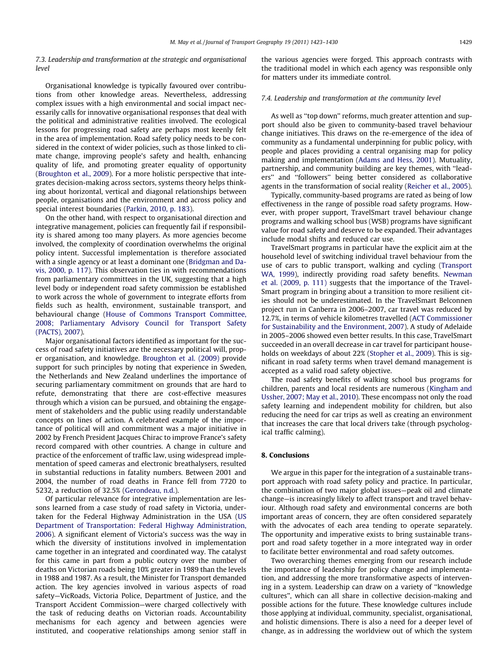### 7.3. Leadership and transformation at the strategic and organisational level

Organisational knowledge is typically favoured over contributions from other knowledge areas. Nevertheless, addressing complex issues with a high environmental and social impact necessarily calls for innovative organisational responses that deal with the political and administrative realities involved. The ecological lessons for progressing road safety are perhaps most keenly felt in the area of implementation. Road safety policy needs to be considered in the context of wider policies, such as those linked to climate change, improving people's safety and health, enhancing quality of life, and promoting greater equality of opportunity ([Broughton et al., 2009\)](#page-7-0). For a more holistic perspective that integrates decision-making across sectors, systems theory helps thinking about horizontal, vertical and diagonal relationships between people, organisations and the environment and across policy and special interest boundaries [\(Parkin, 2010, p. 183](#page-7-0)).

On the other hand, with respect to organisational direction and integrative management, policies can frequently fail if responsibility is shared among too many players. As more agencies become involved, the complexity of coordination overwhelms the original policy intent. Successful implementation is therefore associated with a single agency or at least a dominant one [\(Bridgman and Da](#page-7-0)[vis, 2000, p. 117](#page-7-0)). This observation ties in with recommendations from parliamentary committees in the UK, suggesting that a high level body or independent road safety commission be established to work across the whole of government to integrate efforts from fields such as health, environment, sustainable transport, and behavioural change [\(House of Commons Transport Committee,](#page-7-0) [2008; Parliamentary Advisory Council for Transport Safety](#page-7-0) [\(PACTS\), 2007\)](#page-7-0).

Major organisational factors identified as important for the success of road safety initiatives are the necessary political will, proper organisation, and knowledge. [Broughton et al. \(2009\)](#page-7-0) provide support for such principles by noting that experience in Sweden, the Netherlands and New Zealand underlines the importance of securing parliamentary commitment on grounds that are hard to refute, demonstrating that there are cost-effective measures through which a vision can be pursued, and obtaining the engagement of stakeholders and the public using readily understandable concepts on lines of action. A celebrated example of the importance of political will and commitment was a major initiative in 2002 by French President Jacques Chirac to improve France's safety record compared with other countries. A change in culture and practice of the enforcement of traffic law, using widespread implementation of speed cameras and electronic breathalysers, resulted in substantial reductions in fatality numbers. Between 2001 and 2004, the number of road deaths in France fell from 7720 to 5232, a reduction of 32.5% [\(Gerondeau, n.d.](#page-7-0)).

Of particular relevance for integrative implementation are lessons learned from a case study of road safety in Victoria, undertaken for the Federal Highway Administration in the USA [\(US](#page-7-0) [Department of Transportation: Federal Highway Administration,](#page-7-0) [2006](#page-7-0)). A significant element of Victoria's success was the way in which the diversity of institutions involved in implementation came together in an integrated and coordinated way. The catalyst for this came in part from a public outcry over the number of deaths on Victorian roads being 10% greater in 1989 than the levels in 1988 and 1987. As a result, the Minister for Transport demanded action. The key agencies involved in various aspects of road safety—VicRoads, Victoria Police, Department of Justice, and the Transport Accident Commission—were charged collectively with the task of reducing deaths on Victorian roads. Accountability mechanisms for each agency and between agencies were instituted, and cooperative relationships among senior staff in the various agencies were forged. This approach contrasts with the traditional model in which each agency was responsible only for matters under its immediate control.

## 7.4. Leadership and transformation at the community level

As well as ''top down'' reforms, much greater attention and support should also be given to community-based travel behaviour change initiatives. This draws on the re-emergence of the idea of community as a fundamental underpinning for public policy, with people and places providing a central organising map for policy making and implementation [\(Adams and Hess, 2001](#page-7-0)). Mutuality, partnership, and community building are key themes, with ''leaders'' and ''followers'' being better considered as collaborative agents in the transformation of social reality [\(Reicher et al., 2005\)](#page-7-0).

Typically, community-based programs are rated as being of low effectiveness in the range of possible road safety programs. However, with proper support, TravelSmart travel behaviour change programs and walking school bus (WSB) programs have significant value for road safety and deserve to be expanded. Their advantages include modal shifts and reduced car use.

TravelSmart programs in particular have the explicit aim at the household level of switching individual travel behaviour from the use of cars to public transport, walking and cycling ([Transport](#page-7-0) [WA, 1999](#page-7-0)), indirectly providing road safety benefits. [Newman](#page-7-0) [et al. \(2009, p. 111\)](#page-7-0) suggests that the importance of the Travel-Smart program in bringing about a transition to more resilient cities should not be underestimated. In the TravelSmart Belconnen project run in Canberra in 2006–2007, car travel was reduced by 12.7%, in terms of vehicle kilometres travelled [\(ACT Commissioner](#page-7-0) [for Sustainability and the Environment, 2007\)](#page-7-0). A study of Adelaide in 2005–2006 showed even better results. In this case, TravelSmart succeeded in an overall decrease in car travel for participant households on weekdays of about 22% ([Stopher et al., 2009](#page-7-0)). This is significant in road safety terms when travel demand management is accepted as a valid road safety objective.

The road safety benefits of walking school bus programs for children, parents and local residents are numerous ([Kingham and](#page-7-0) [Ussher, 2007; May et al., 2010\)](#page-7-0). These encompass not only the road safety learning and independent mobility for children, but also reducing the need for car trips as well as creating an environment that increases the care that local drivers take (through psychological traffic calming).

#### 8. Conclusions

We argue in this paper for the integration of a sustainable transport approach with road safety policy and practice. In particular, the combination of two major global issues—peak oil and climate change—is increasingly likely to affect transport and travel behaviour. Although road safety and environmental concerns are both important areas of concern, they are often considered separately with the advocates of each area tending to operate separately. The opportunity and imperative exists to bring sustainable transport and road safety together in a more integrated way in order to facilitate better environmental and road safety outcomes.

Two overarching themes emerging from our research include the importance of leadership for policy change and implementation, and addressing the more transformative aspects of intervening in a system. Leadership can draw on a variety of ''knowledge cultures'', which can all share in collective decision-making and possible actions for the future. These knowledge cultures include those applying at individual, community, specialist, organisational, and holistic dimensions. There is also a need for a deeper level of change, as in addressing the worldview out of which the system